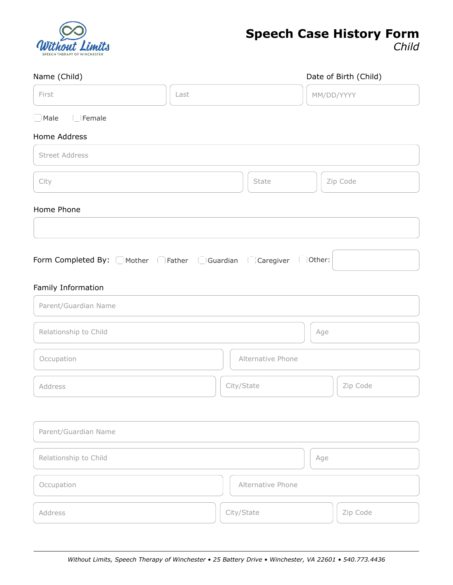

# **Speech Case History Form**

*Child*

| Name (Child)                                                                              |      |                   |            | Date of Birth (Child) |
|-------------------------------------------------------------------------------------------|------|-------------------|------------|-----------------------|
| First                                                                                     | Last |                   | MM/DD/YYYY |                       |
| Male IFemale                                                                              |      |                   |            |                       |
| Home Address                                                                              |      |                   |            |                       |
| <b>Street Address</b>                                                                     |      |                   |            |                       |
| City                                                                                      |      | State             |            | Zip Code              |
| Home Phone                                                                                |      |                   |            |                       |
|                                                                                           |      |                   |            |                       |
| Form Completed By: CMother   Father   Guardian   Caregiver   Other:<br>Family Information |      |                   |            |                       |
| Parent/Guardian Name                                                                      |      |                   |            |                       |
| Relationship to Child                                                                     |      |                   | Age        |                       |
| Occupation                                                                                |      | Alternative Phone |            |                       |
| Address                                                                                   |      | City/State        |            | Zip Code              |
|                                                                                           |      |                   |            |                       |
| Parent/Guardian Name                                                                      |      |                   |            |                       |
| Relationship to Child                                                                     |      |                   | Age        |                       |
| Occupation                                                                                |      | Alternative Phone |            |                       |
| Address                                                                                   |      | City/State        |            | Zip Code              |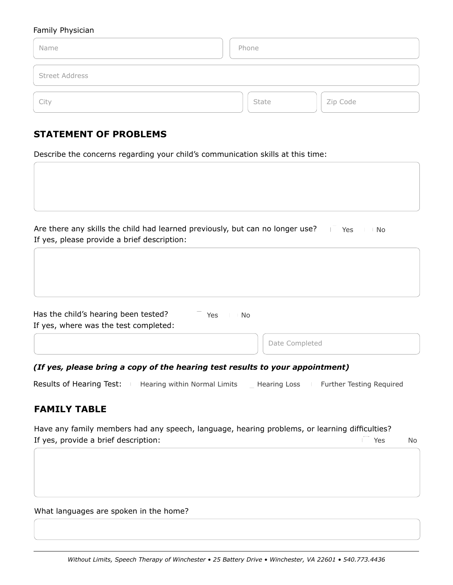#### Family Physician

| Name                  | Phone             |
|-----------------------|-------------------|
| <b>Street Address</b> |                   |
| City                  | Zip Code<br>State |

# **STATEMENT OF PROBLEMS**

Describe the concerns regarding your child's communication skills at this time:

Are there any skills the child had learned previously, but can no longer use? Fig. Yes If yes, please provide a brief description: No.

| Has the child's hearing been tested?<br>If yes, where was the test completed: | Yes | No. |                |
|-------------------------------------------------------------------------------|-----|-----|----------------|
|                                                                               |     |     | Date Completed |

*(If yes, please bring a copy of the hearing test results to your appointment)*

| Results of Hearing Test: | Hearing within Normal Limits | Hearing Loss | Further Testing Required |
|--------------------------|------------------------------|--------------|--------------------------|
|--------------------------|------------------------------|--------------|--------------------------|

# **FAMILY TABLE**

Have any family members had any speech, language, hearing problems, or learning difficulties? If yes, provide a brief description: Yes No

What languages are spoken in the home?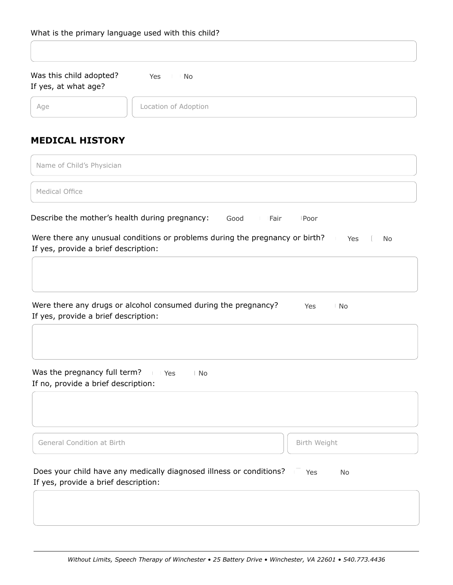| Was this child adopted? | Yes | No. |  |
|-------------------------|-----|-----|--|
| If yes, at what age?    |     |     |  |

Age **Location of Adoption** 

# **MEDICAL HISTORY**

| Name of Child's Physician |  |
|---------------------------|--|
| Medical Office            |  |
|                           |  |

Describe the mother's health during pregnancy: Good Fair Poor

Were there any unusual conditions or problems during the pregnancy or birth? If yes, provide a brief description: Yes | No

| Were there any drugs or alcohol consumed during the pregnancy? | Yes | No |
|----------------------------------------------------------------|-----|----|
| If yes, provide a brief description:                           |     |    |

Was the pregnancy full term? If no, provide a brief description: Yes | No

General Condition at Birth **Birth Birth Birth Weight** Birth Weight

| Does your child have any medically diagnosed illness or conditions? | Yes |  |
|---------------------------------------------------------------------|-----|--|
| If yes, provide a brief description:                                |     |  |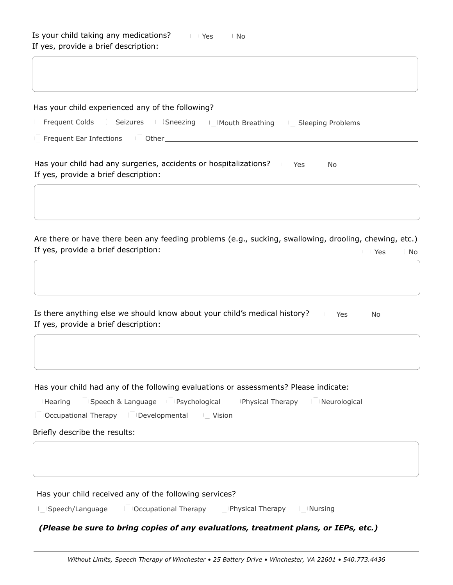| Has your child experienced any of the following?                                                                                      |
|---------------------------------------------------------------------------------------------------------------------------------------|
| Frequent Colds   Seizures   Sneezing   Mouth Breathing   Sleeping Problems                                                            |
|                                                                                                                                       |
| Has your child had any surgeries, accidents or hospitalizations?<br>Yes<br>∣ No<br>If yes, provide a brief description:               |
| Are there or have there been any feeding problems (e.g., sucking, swallowing, drooling, chewing, etc.)                                |
| If yes, provide a brief description:<br>∣ No<br><b>Yes</b>                                                                            |
| Is there anything else we should know about your child's medical history?<br>Yes<br><b>No</b><br>If yes, provide a brief description: |
|                                                                                                                                       |
| Has your child had any of the following evaluations or assessments? Please indicate:                                                  |
| Hearing Speech & Language Psychological Physical Therapy Reurological<br>Occupational Therapy   Developmental   Vision                |
| Briefly describe the results:                                                                                                         |
|                                                                                                                                       |
| Has your child received any of the following services?                                                                                |
| Speech/Language     Occupational Therapy           Physical Therapy         Nursing                                                   |

## *(Please be sure to bring copies of any evaluations, treatment plans, or IEPs, etc.)*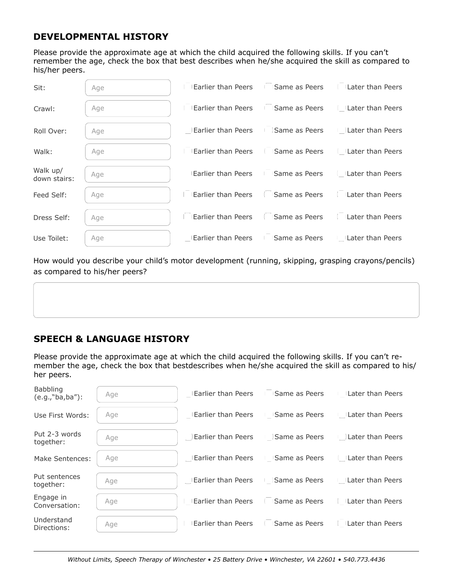# **DEVELOPMENTAL HISTORY**

Please provide the approximate age at which the child acquired the following skills. If you can't remember the age, check the box that best describes when he/she acquired the skill as compared to his/her peers.

| Sit:                     | Age |                                                                     | Earlier than Peers <b>Figure 1</b> Same as Peers <b>Figure 1</b> Later than Peers |
|--------------------------|-----|---------------------------------------------------------------------|-----------------------------------------------------------------------------------|
| Crawl:                   | Age | Earlier than Peers <b>Fillip Same as Peers</b> Fillater than Peers  |                                                                                   |
| Roll Over:               | Age |                                                                     | <b>Earlier than Peers Same as Peers Let Later than Peers</b>                      |
| Walk:                    | Age | Earlier than Peers   Same as Peers   Later than Peers               |                                                                                   |
| Walk up/<br>down stairs: | Age | Earlier than Peers Fill Same as Peers Fill Later than Peers         |                                                                                   |
| Feed Self:               | Age | Earlier than Peers <b>G</b> Same as Peers <b>Earlier</b> than Peers |                                                                                   |
| Dress Self:              | Age | <b>Earlier than Peers Game as Peers CE</b> Later than Peers         |                                                                                   |
| Use Toilet:              | Age | Earlier than Peers Fill Same as Peers Fill Later than Peers         |                                                                                   |

How would you describe your child's motor development (running, skipping, grasping crayons/pencils) as compared to his/her peers?

# **SPEECH & LANGUAGE HISTORY**

Please provide the approximate age at which the child acquired the following skills. If you can't remember the age, check the box that bestdescribes when he/she acquired the skill as compared to his/ her peers.

| Babbling<br>$(e.g., "ba, ba")$ : | Age | Earlier than Peers Fill Same as Peers Fill Later than Peers |  |
|----------------------------------|-----|-------------------------------------------------------------|--|
| Use First Words:                 | Age | Earlier than Peers Fill Same as Peers Fill Later than Peers |  |
| Put 2-3 words<br>together:       | Age | Later than Peers Lines as Peers Lines han Peers             |  |
| Make Sentences:                  | Age | Earlier than Peers Fill Same as Peers Fill Later than Peers |  |
| Put sentences<br>together:       | Age | Later than Peers Linds as Peers Linds Peers Linds Peers     |  |
| Engage in<br>Conversation:       | Age | Earlier than Peers Fill Same as Peers Fill Later than Peers |  |
| Understand<br>Directions:        | Age | Earlier than Peers Fill Same as Peers Fill Later than Peers |  |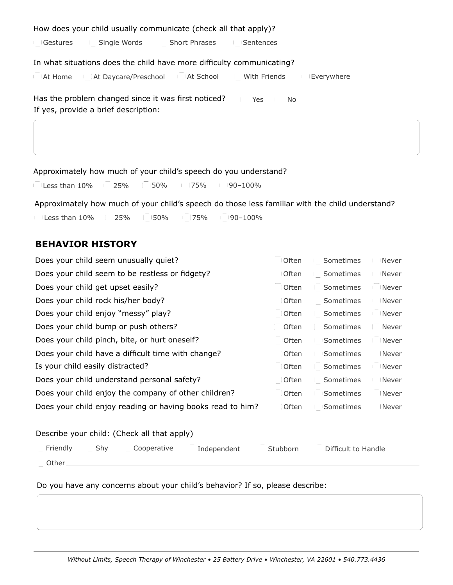| How does your child usually communicate (check all that apply)?                                           |
|-----------------------------------------------------------------------------------------------------------|
| Gestures   Single Words   Short Phrases<br><b>Sentences</b>                                               |
| In what situations does the child have more difficulty communicating?                                     |
| In IAt Home In the Daycare/Preschool (At School I With Friends I Everywhere                               |
| Has the problem changed since it was first noticed?<br>Yes<br>No.<br>If yes, provide a brief description: |
|                                                                                                           |
|                                                                                                           |

Approximately how much of your child's speech do you understand?

Less than  $10\%$  25% 50% 75% 90-100%

Approximately how much of your child's speech do those less familiar with the child understand?

Less than  $10\%$  25% 50% 75% 90-100%

# **BEHAVIOR HISTORY**

| Does your child seem unusually quiet?                      | <b>Often</b> | Sometimes | Never |
|------------------------------------------------------------|--------------|-----------|-------|
| Does your child seem to be restless or fidgety?            | <b>Often</b> | Sometimes | Never |
| Does your child get upset easily?                          | <b>Often</b> | Sometimes | Never |
| Does your child rock his/her body?                         | Often        | Sometimes | Never |
| Does your child enjoy "messy" play?                        | Often        | Sometimes | Never |
| Does your child bump or push others?                       | Often        | Sometimes | Never |
| Does your child pinch, bite, or hurt oneself?              | <b>Often</b> | Sometimes | Never |
| Does your child have a difficult time with change?         | <b>Often</b> | Sometimes | Never |
| Is your child easily distracted?                           | <b>Often</b> | Sometimes | Never |
| Does your child understand personal safety?                | Often        | Sometimes | Never |
| Does your child enjoy the company of other children?       | Often        | Sometimes | Never |
| Does your child enjoy reading or having books read to him? | <b>Often</b> | Sometimes | Never |
|                                                            |              |           |       |

#### Describe your child: (Check all that apply)

| Friendly | Shv | Cooperative | Independent | Stubborn | Difficult to Handle |
|----------|-----|-------------|-------------|----------|---------------------|
| Other    |     |             |             |          |                     |

## Do you have any concerns about your child's behavior? If so, please describe: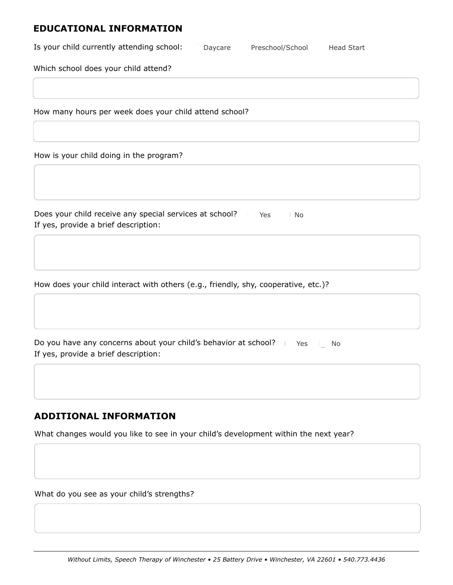## **EDUCATIONAL INFORMATION**

| Is your child currently attending school: | Daycare | Preschool/School | <b>Head Start</b> |  |
|-------------------------------------------|---------|------------------|-------------------|--|
|-------------------------------------------|---------|------------------|-------------------|--|

Which school does your child attend?

How many hours per week does your child attend school?

How is your child doing in the program?

| Does your child receive any special services at school? | Yes | ' No |
|---------------------------------------------------------|-----|------|
| If yes, provide a brief description:                    |     |      |

How does your child interact with others (e.g., friendly, shy, cooperative, etc.)?

Do you have any concerns about your child's behavior at school? I Ares The No If yes, provide a brief description:

# **ADDITIONAL INFORMATION**

What changes would you like to see in your child's development within the next year?

What do you see as your child's strengths?